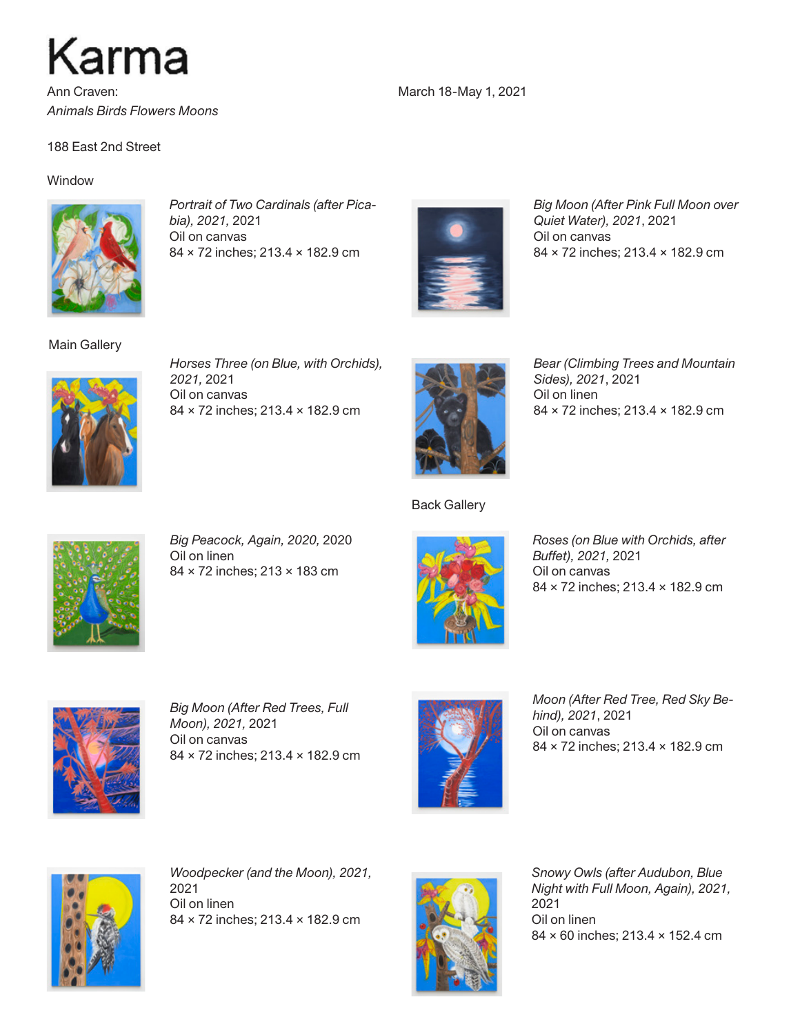

Ann Craven: *Animals Birds Flowers Moons*

188 East 2nd Street

## **Window**



*Portrait of Two Cardinals (after Picabia), 2021,* 2021 Oil on canvas 84 × 72 inches; 213.4 × 182.9 cm



March 18-May 1, 2021

*Big Moon (After Pink Full Moon over Quiet Water), 2021*, 2021 Oil on canvas 84 × 72 inches; 213.4 × 182.9 cm



Main Gallery

*Horses Three (on Blue, with Orchids), 2021,* 2021 Oil on canvas 84 × 72 inches; 213.4 × 182.9 cm



*Bear (Climbing Trees and Mountain Sides), 2021*, 2021 Oil on linen 84 × 72 inches; 213.4 × 182.9 cm



*Big Peacock, Again, 2020,* 2020 Oil on linen 84 × 72 inches; 213 × 183 cm



Back Gallery

*Roses (on Blue with Orchids, after Buffet), 2021,* 2021 Oil on canvas 84 × 72 inches; 213.4 × 182.9 cm



*Big Moon (After Red Trees, Full Moon), 2021,* 2021 Oil on canvas 84 × 72 inches; 213.4 × 182.9 cm



*Moon (After Red Tree, Red Sky Behind), 2021*, 2021 Oil on canvas 84 × 72 inches; 213.4 × 182.9 cm



*Woodpecker (and the Moon), 2021,*  2021 Oil on linen 84 × 72 inches; 213.4 × 182.9 cm



*Snowy Owls (after Audubon, Blue Night with Full Moon, Again), 2021,*  2021 Oil on linen 84 × 60 inches; 213.4 × 152.4 cm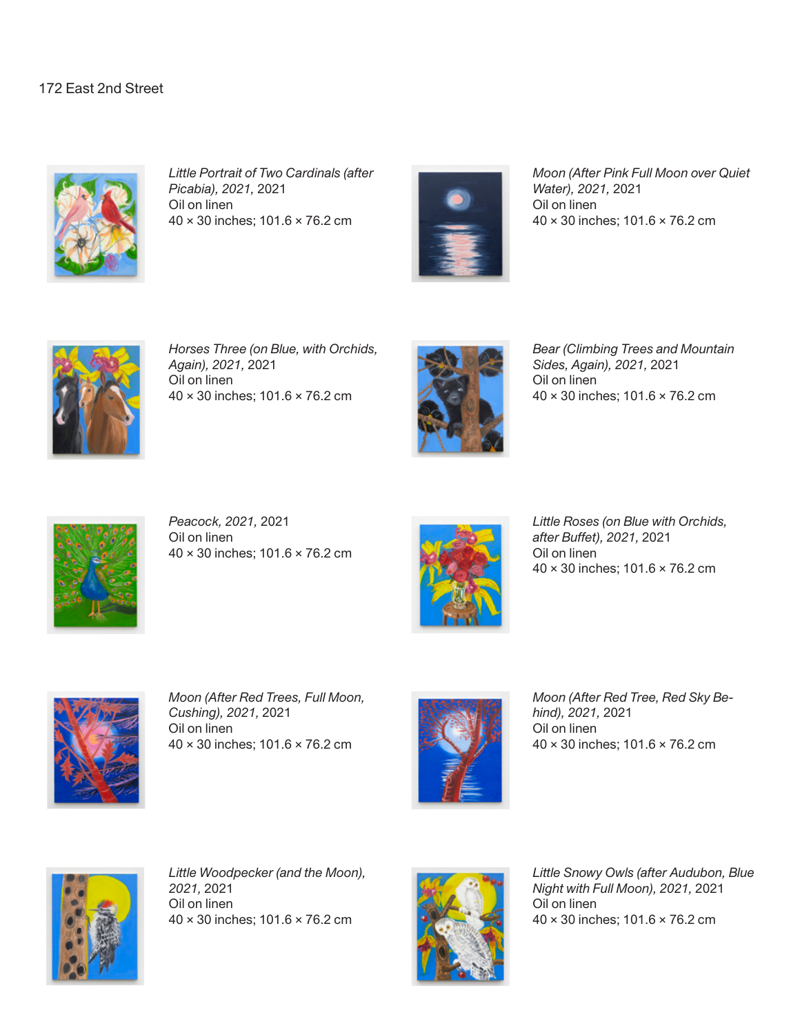## 172 East 2nd Street



*Little Portrait of Two Cardinals (after Picabia), 2021,* 2021 Oil on linen 40 × 30 inches; 101.6 × 76.2 cm



*Moon (After Pink Full Moon over Quiet Water), 2021,* 2021 Oil on linen 40 × 30 inches; 101.6 × 76.2 cm



*Horses Three (on Blue, with Orchids, Again), 2021,* 2021 Oil on linen 40 × 30 inches; 101.6 × 76.2 cm



*Bear (Climbing Trees and Mountain Sides, Again), 2021,* 2021 Oil on linen 40 × 30 inches; 101.6 × 76.2 cm



*Peacock, 2021,* 2021 Oil on linen 40 × 30 inches; 101.6 × 76.2 cm



*Little Roses (on Blue with Orchids, after Buffet), 2021,* 2021 Oil on linen 40 × 30 inches; 101.6 × 76.2 cm



*Moon (After Red Trees, Full Moon, Cushing), 2021,* 2021 Oil on linen 40 × 30 inches; 101.6 × 76.2 cm



*Moon (After Red Tree, Red Sky Behind), 2021,* 2021 Oil on linen 40 × 30 inches; 101.6 × 76.2 cm



*Little Woodpecker (and the Moon), 2021,* 2021 Oil on linen 40 × 30 inches; 101.6 × 76.2 cm



*Little Snowy Owls (after Audubon, Blue Night with Full Moon), 2021,* 2021 Oil on linen 40 × 30 inches; 101.6 × 76.2 cm